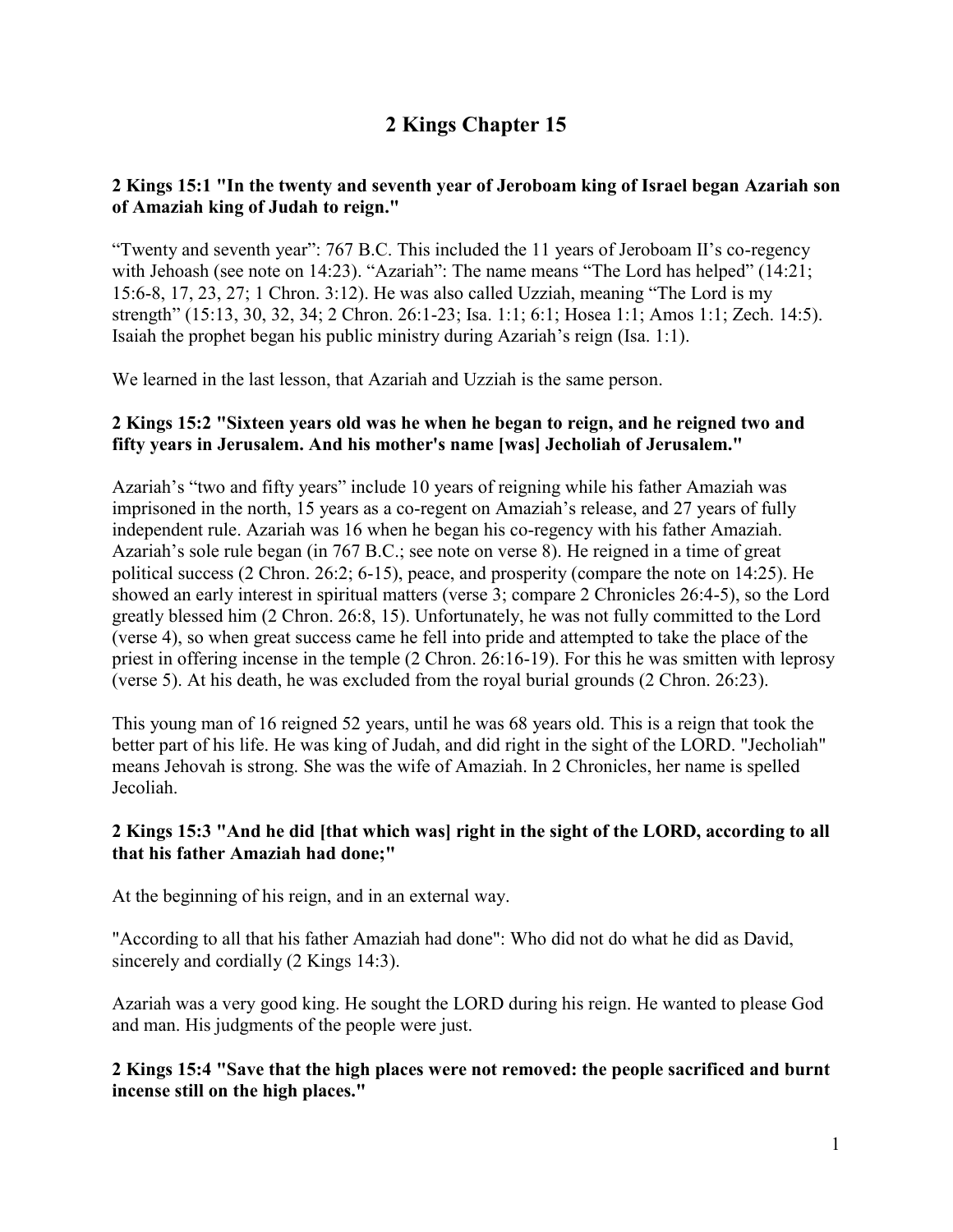# **2 Kings Chapter 15**

# **2 Kings 15:1 "In the twenty and seventh year of Jeroboam king of Israel began Azariah son of Amaziah king of Judah to reign."**

"Twenty and seventh year": 767 B.C. This included the 11 years of Jeroboam II's co-regency with Jehoash (see note on 14:23). "Azariah": The name means "The Lord has helped" (14:21; 15:6-8, 17, 23, 27; 1 Chron. 3:12). He was also called Uzziah, meaning "The Lord is my strength" (15:13, 30, 32, 34; 2 Chron. 26:1-23; Isa. 1:1; 6:1; Hosea 1:1; Amos 1:1; Zech. 14:5). Isaiah the prophet began his public ministry during Azariah's reign (Isa. 1:1).

We learned in the last lesson, that Azariah and Uzziah is the same person.

## **2 Kings 15:2 "Sixteen years old was he when he began to reign, and he reigned two and fifty years in Jerusalem. And his mother's name [was] Jecholiah of Jerusalem."**

Azariah's "two and fifty years" include 10 years of reigning while his father Amaziah was imprisoned in the north, 15 years as a co-regent on Amaziah's release, and 27 years of fully independent rule. Azariah was 16 when he began his co-regency with his father Amaziah. Azariah's sole rule began (in 767 B.C.; see note on verse 8). He reigned in a time of great political success (2 Chron. 26:2; 6-15), peace, and prosperity (compare the note on 14:25). He showed an early interest in spiritual matters (verse 3; compare 2 Chronicles 26:4-5), so the Lord greatly blessed him (2 Chron. 26:8, 15). Unfortunately, he was not fully committed to the Lord (verse 4), so when great success came he fell into pride and attempted to take the place of the priest in offering incense in the temple (2 Chron. 26:16-19). For this he was smitten with leprosy (verse 5). At his death, he was excluded from the royal burial grounds (2 Chron. 26:23).

This young man of 16 reigned 52 years, until he was 68 years old. This is a reign that took the better part of his life. He was king of Judah, and did right in the sight of the LORD. "Jecholiah" means Jehovah is strong. She was the wife of Amaziah. In 2 Chronicles, her name is spelled Jecoliah.

## **2 Kings 15:3 "And he did [that which was] right in the sight of the LORD, according to all that his father Amaziah had done;"**

At the beginning of his reign, and in an external way.

"According to all that his father Amaziah had done": Who did not do what he did as David, sincerely and cordially (2 Kings 14:3).

Azariah was a very good king. He sought the LORD during his reign. He wanted to please God and man. His judgments of the people were just.

**2 Kings 15:4 "Save that the high places were not removed: the people sacrificed and burnt incense still on the high places."**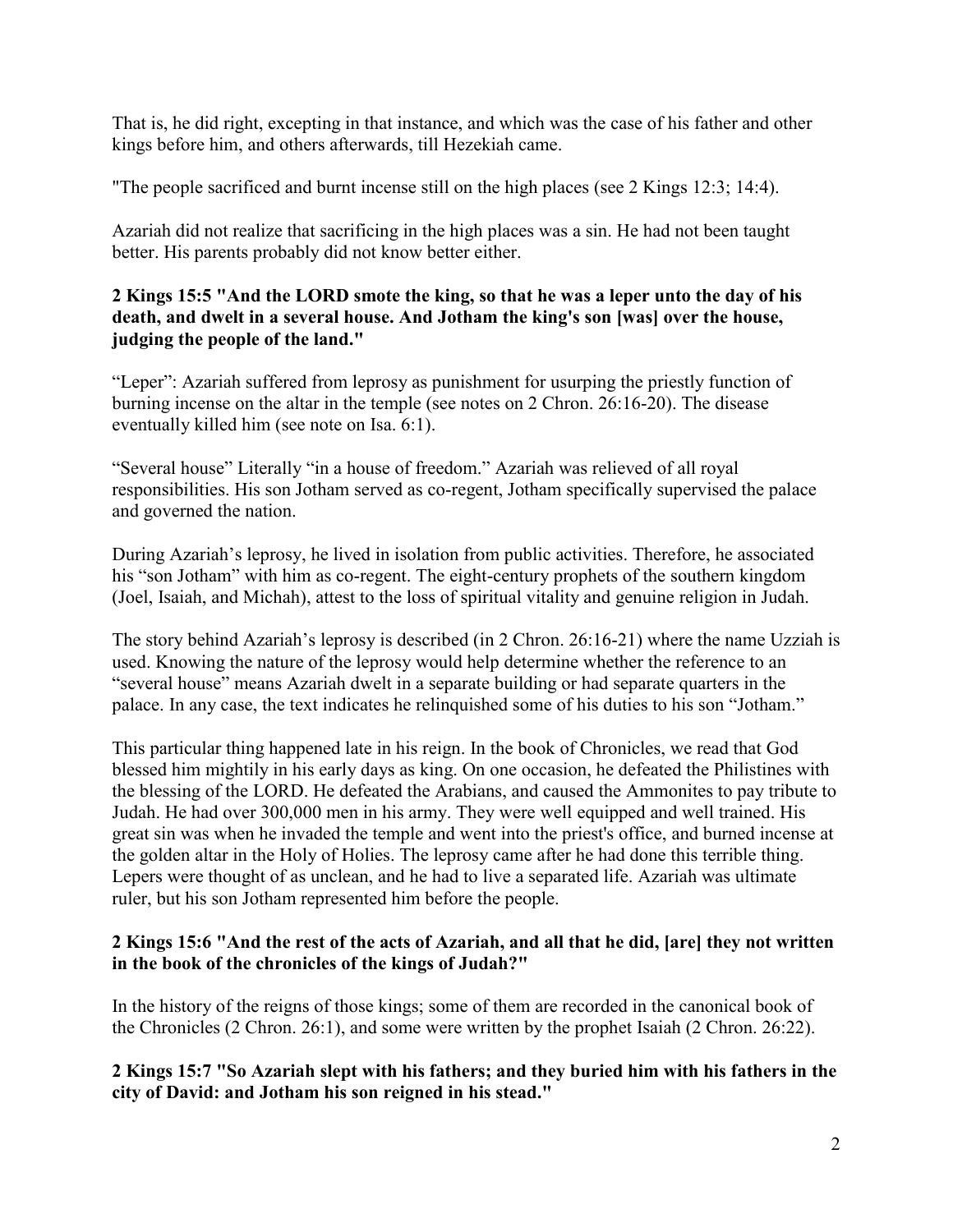That is, he did right, excepting in that instance, and which was the case of his father and other kings before him, and others afterwards, till Hezekiah came.

"The people sacrificed and burnt incense still on the high places (see 2 Kings 12:3; 14:4).

Azariah did not realize that sacrificing in the high places was a sin. He had not been taught better. His parents probably did not know better either.

## **2 Kings 15:5 "And the LORD smote the king, so that he was a leper unto the day of his death, and dwelt in a several house. And Jotham the king's son [was] over the house, judging the people of the land."**

"Leper": Azariah suffered from leprosy as punishment for usurping the priestly function of burning incense on the altar in the temple (see notes on 2 Chron. 26:16-20). The disease eventually killed him (see note on Isa. 6:1).

"Several house" Literally "in a house of freedom." Azariah was relieved of all royal responsibilities. His son Jotham served as co-regent, Jotham specifically supervised the palace and governed the nation.

During Azariah's leprosy, he lived in isolation from public activities. Therefore, he associated his "son Jotham" with him as co-regent. The eight-century prophets of the southern kingdom (Joel, Isaiah, and Michah), attest to the loss of spiritual vitality and genuine religion in Judah.

The story behind Azariah's leprosy is described (in 2 Chron. 26:16-21) where the name Uzziah is used. Knowing the nature of the leprosy would help determine whether the reference to an "several house" means Azariah dwelt in a separate building or had separate quarters in the palace. In any case, the text indicates he relinquished some of his duties to his son "Jotham."

This particular thing happened late in his reign. In the book of Chronicles, we read that God blessed him mightily in his early days as king. On one occasion, he defeated the Philistines with the blessing of the LORD. He defeated the Arabians, and caused the Ammonites to pay tribute to Judah. He had over 300,000 men in his army. They were well equipped and well trained. His great sin was when he invaded the temple and went into the priest's office, and burned incense at the golden altar in the Holy of Holies. The leprosy came after he had done this terrible thing. Lepers were thought of as unclean, and he had to live a separated life. Azariah was ultimate ruler, but his son Jotham represented him before the people.

## **2 Kings 15:6 "And the rest of the acts of Azariah, and all that he did, [are] they not written in the book of the chronicles of the kings of Judah?"**

In the history of the reigns of those kings; some of them are recorded in the canonical book of the Chronicles (2 Chron. 26:1), and some were written by the prophet Isaiah (2 Chron. 26:22).

## **2 Kings 15:7 "So Azariah slept with his fathers; and they buried him with his fathers in the city of David: and Jotham his son reigned in his stead."**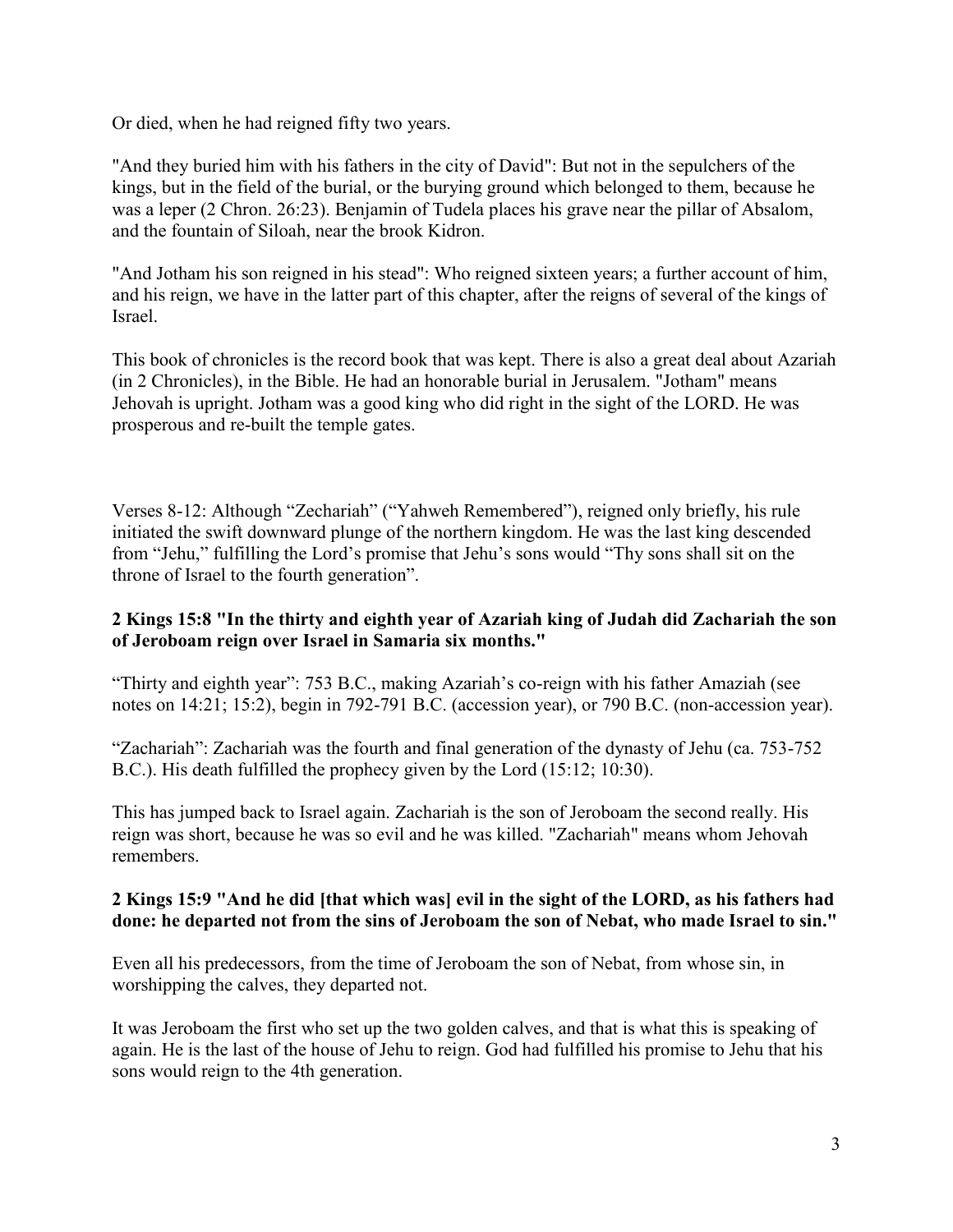Or died, when he had reigned fifty two years.

"And they buried him with his fathers in the city of David": But not in the sepulchers of the kings, but in the field of the burial, or the burying ground which belonged to them, because he was a leper (2 Chron. 26:23). Benjamin of Tudela places his grave near the pillar of Absalom, and the fountain of Siloah, near the brook Kidron.

"And Jotham his son reigned in his stead": Who reigned sixteen years; a further account of him, and his reign, we have in the latter part of this chapter, after the reigns of several of the kings of Israel.

This book of chronicles is the record book that was kept. There is also a great deal about Azariah (in 2 Chronicles), in the Bible. He had an honorable burial in Jerusalem. "Jotham" means Jehovah is upright. Jotham was a good king who did right in the sight of the LORD. He was prosperous and re-built the temple gates.

Verses 8-12: Although "Zechariah" ("Yahweh Remembered"), reigned only briefly, his rule initiated the swift downward plunge of the northern kingdom. He was the last king descended from "Jehu," fulfilling the Lord's promise that Jehu's sons would "Thy sons shall sit on the throne of Israel to the fourth generation".

## **2 Kings 15:8 "In the thirty and eighth year of Azariah king of Judah did Zachariah the son of Jeroboam reign over Israel in Samaria six months."**

"Thirty and eighth year": 753 B.C., making Azariah's co-reign with his father Amaziah (see notes on 14:21; 15:2), begin in 792-791 B.C. (accession year), or 790 B.C. (non-accession year).

"Zachariah": Zachariah was the fourth and final generation of the dynasty of Jehu (ca. 753-752 B.C.). His death fulfilled the prophecy given by the Lord (15:12; 10:30).

This has jumped back to Israel again. Zachariah is the son of Jeroboam the second really. His reign was short, because he was so evil and he was killed. "Zachariah" means whom Jehovah remembers.

#### **2 Kings 15:9 "And he did [that which was] evil in the sight of the LORD, as his fathers had done: he departed not from the sins of Jeroboam the son of Nebat, who made Israel to sin."**

Even all his predecessors, from the time of Jeroboam the son of Nebat, from whose sin, in worshipping the calves, they departed not.

It was Jeroboam the first who set up the two golden calves, and that is what this is speaking of again. He is the last of the house of Jehu to reign. God had fulfilled his promise to Jehu that his sons would reign to the 4th generation.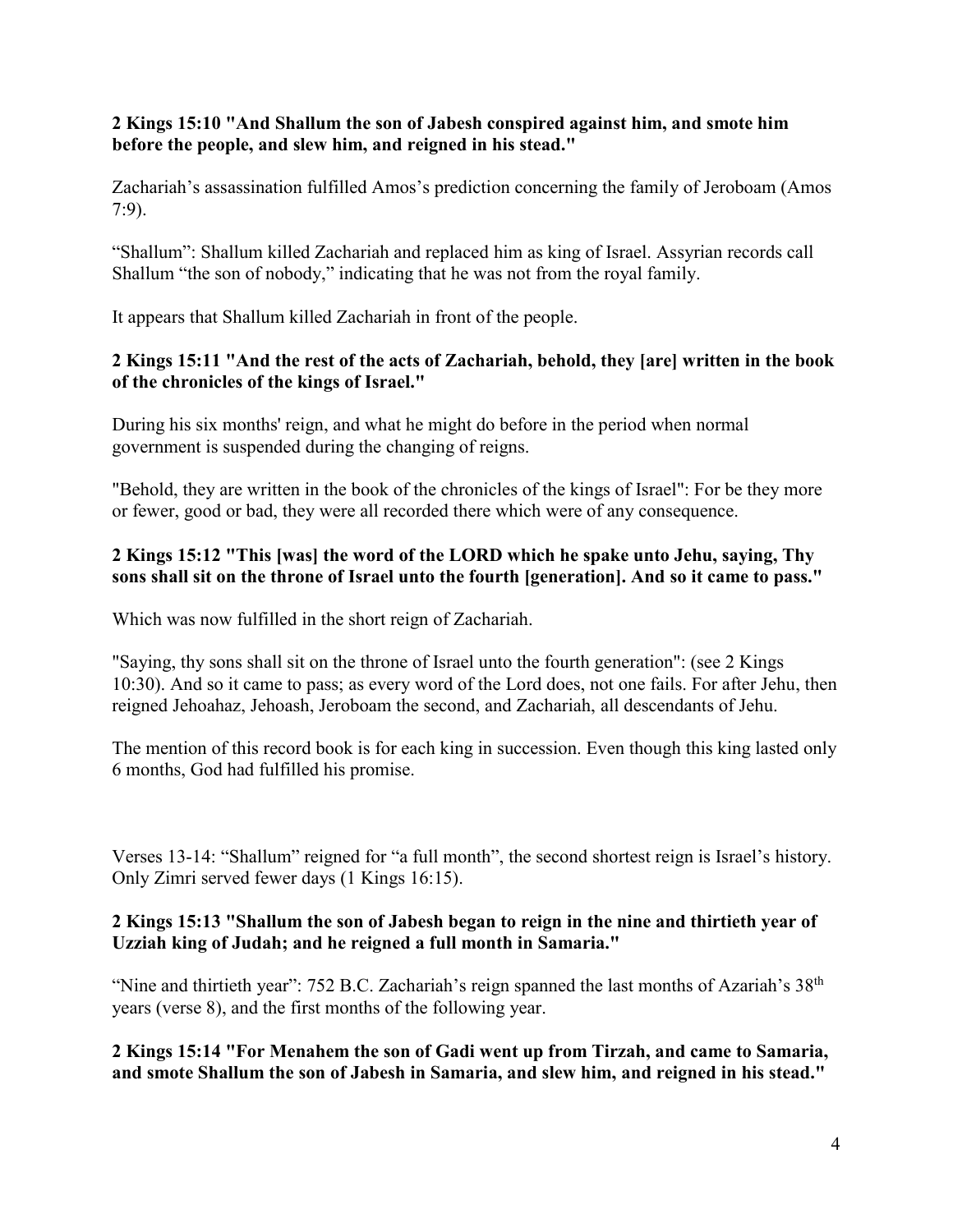### **2 Kings 15:10 "And Shallum the son of Jabesh conspired against him, and smote him before the people, and slew him, and reigned in his stead."**

Zachariah's assassination fulfilled Amos's prediction concerning the family of Jeroboam (Amos 7:9).

"Shallum": Shallum killed Zachariah and replaced him as king of Israel. Assyrian records call Shallum "the son of nobody," indicating that he was not from the royal family.

It appears that Shallum killed Zachariah in front of the people.

# **2 Kings 15:11 "And the rest of the acts of Zachariah, behold, they [are] written in the book of the chronicles of the kings of Israel."**

During his six months' reign, and what he might do before in the period when normal government is suspended during the changing of reigns.

"Behold, they are written in the book of the chronicles of the kings of Israel": For be they more or fewer, good or bad, they were all recorded there which were of any consequence.

## **2 Kings 15:12 "This [was] the word of the LORD which he spake unto Jehu, saying, Thy sons shall sit on the throne of Israel unto the fourth [generation]. And so it came to pass."**

Which was now fulfilled in the short reign of Zachariah.

"Saying, thy sons shall sit on the throne of Israel unto the fourth generation": (see 2 Kings 10:30). And so it came to pass; as every word of the Lord does, not one fails. For after Jehu, then reigned Jehoahaz, Jehoash, Jeroboam the second, and Zachariah, all descendants of Jehu.

The mention of this record book is for each king in succession. Even though this king lasted only 6 months, God had fulfilled his promise.

Verses 13-14: "Shallum" reigned for "a full month", the second shortest reign is Israel's history. Only Zimri served fewer days (1 Kings 16:15).

## **2 Kings 15:13 "Shallum the son of Jabesh began to reign in the nine and thirtieth year of Uzziah king of Judah; and he reigned a full month in Samaria."**

"Nine and thirtieth year": 752 B.C. Zachariah's reign spanned the last months of Azariah's 38<sup>th</sup> years (verse 8), and the first months of the following year.

**2 Kings 15:14 "For Menahem the son of Gadi went up from Tirzah, and came to Samaria, and smote Shallum the son of Jabesh in Samaria, and slew him, and reigned in his stead."**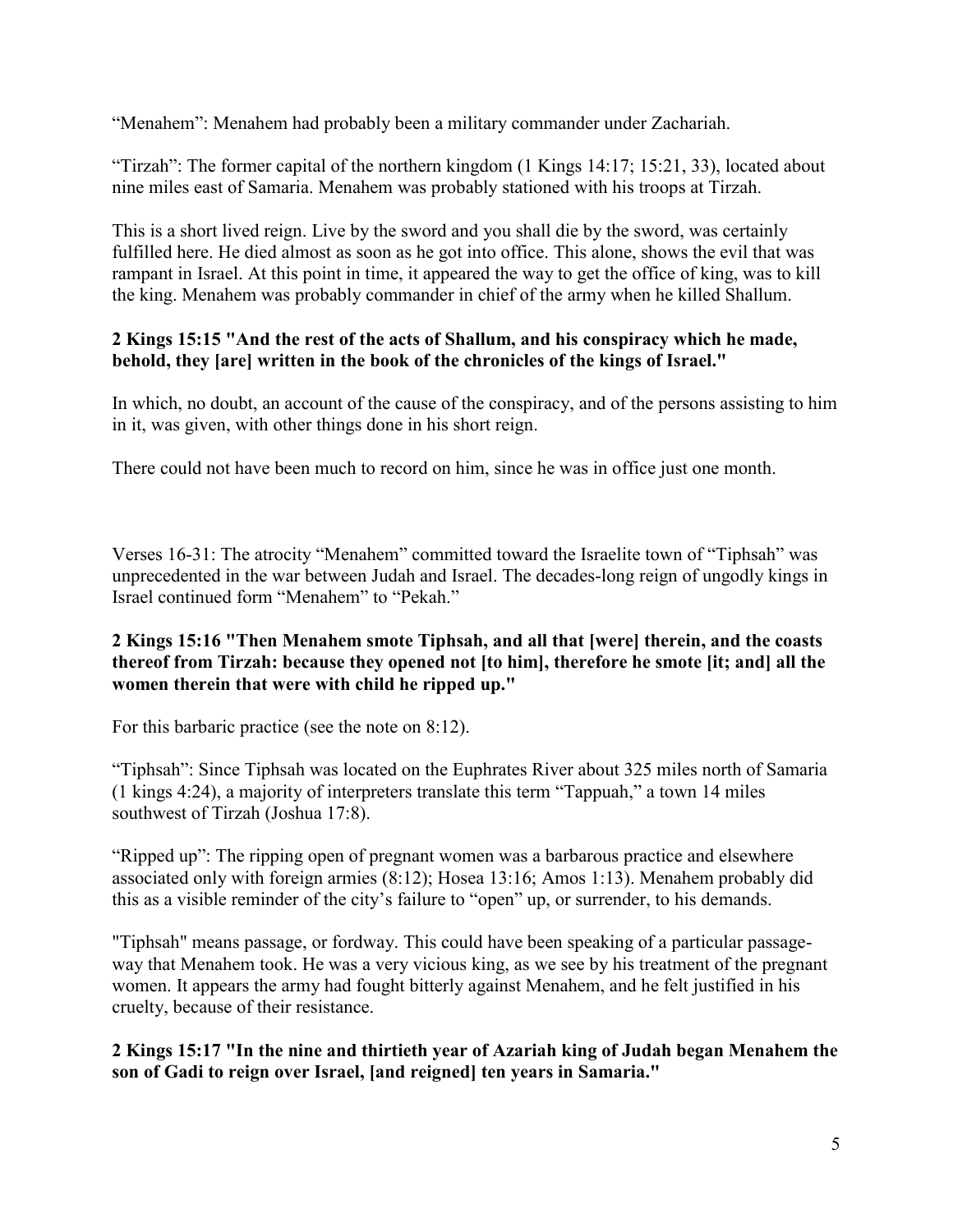"Menahem": Menahem had probably been a military commander under Zachariah.

"Tirzah": The former capital of the northern kingdom (1 Kings 14:17; 15:21, 33), located about nine miles east of Samaria. Menahem was probably stationed with his troops at Tirzah.

This is a short lived reign. Live by the sword and you shall die by the sword, was certainly fulfilled here. He died almost as soon as he got into office. This alone, shows the evil that was rampant in Israel. At this point in time, it appeared the way to get the office of king, was to kill the king. Menahem was probably commander in chief of the army when he killed Shallum.

#### **2 Kings 15:15 "And the rest of the acts of Shallum, and his conspiracy which he made, behold, they [are] written in the book of the chronicles of the kings of Israel."**

In which, no doubt, an account of the cause of the conspiracy, and of the persons assisting to him in it, was given, with other things done in his short reign.

There could not have been much to record on him, since he was in office just one month.

Verses 16-31: The atrocity "Menahem" committed toward the Israelite town of "Tiphsah" was unprecedented in the war between Judah and Israel. The decades-long reign of ungodly kings in Israel continued form "Menahem" to "Pekah."

#### **2 Kings 15:16 "Then Menahem smote Tiphsah, and all that [were] therein, and the coasts thereof from Tirzah: because they opened not [to him], therefore he smote [it; and] all the women therein that were with child he ripped up."**

For this barbaric practice (see the note on 8:12).

"Tiphsah": Since Tiphsah was located on the Euphrates River about 325 miles north of Samaria (1 kings 4:24), a majority of interpreters translate this term "Tappuah," a town 14 miles southwest of Tirzah (Joshua 17:8).

"Ripped up": The ripping open of pregnant women was a barbarous practice and elsewhere associated only with foreign armies (8:12); Hosea 13:16; Amos 1:13). Menahem probably did this as a visible reminder of the city's failure to "open" up, or surrender, to his demands.

"Tiphsah" means passage, or fordway. This could have been speaking of a particular passageway that Menahem took. He was a very vicious king, as we see by his treatment of the pregnant women. It appears the army had fought bitterly against Menahem, and he felt justified in his cruelty, because of their resistance.

**2 Kings 15:17 "In the nine and thirtieth year of Azariah king of Judah began Menahem the son of Gadi to reign over Israel, [and reigned] ten years in Samaria."**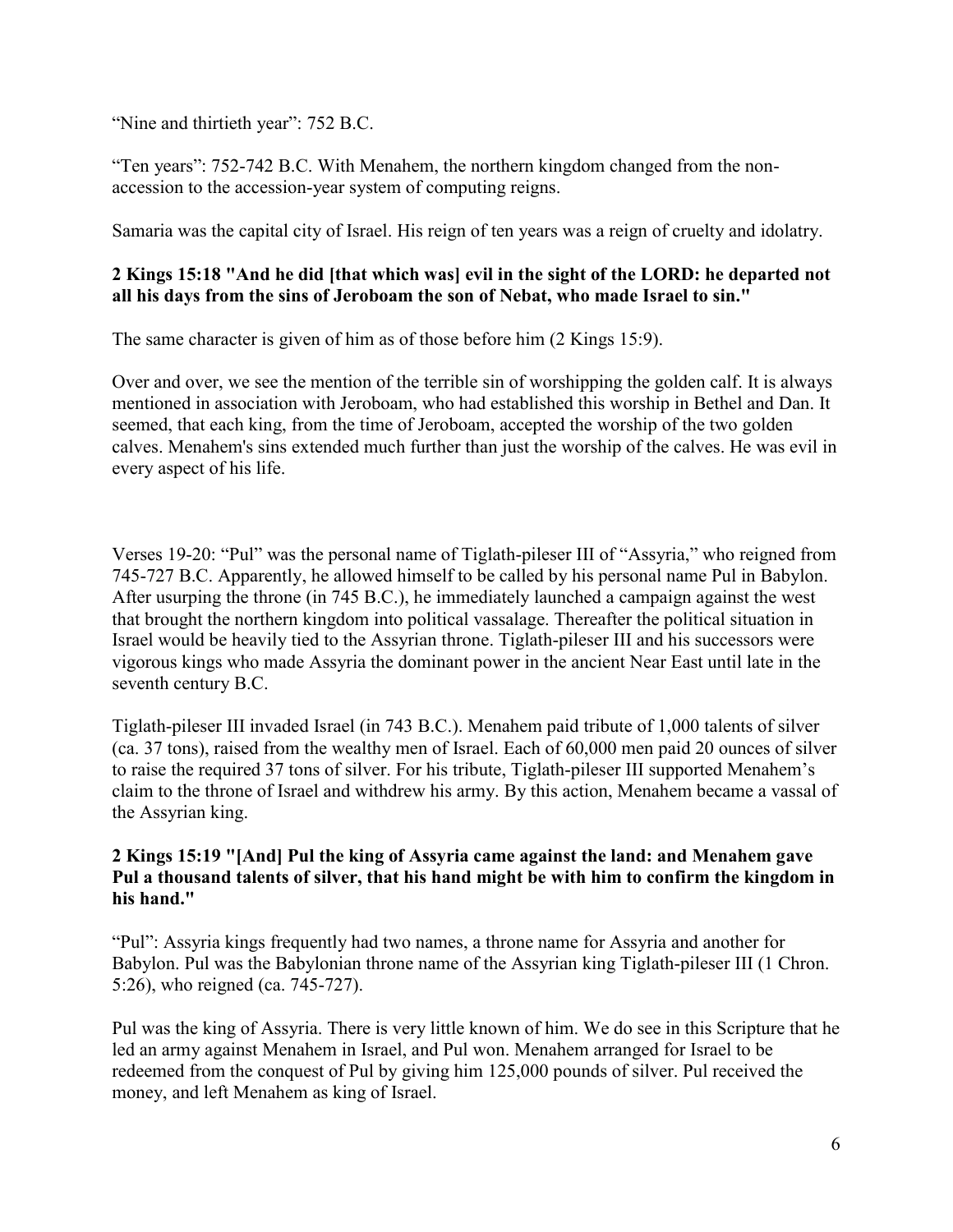"Nine and thirtieth year": 752 B.C.

"Ten years": 752-742 B.C. With Menahem, the northern kingdom changed from the nonaccession to the accession-year system of computing reigns.

Samaria was the capital city of Israel. His reign of ten years was a reign of cruelty and idolatry.

#### **2 Kings 15:18 "And he did [that which was] evil in the sight of the LORD: he departed not all his days from the sins of Jeroboam the son of Nebat, who made Israel to sin."**

The same character is given of him as of those before him (2 Kings 15:9).

Over and over, we see the mention of the terrible sin of worshipping the golden calf. It is always mentioned in association with Jeroboam, who had established this worship in Bethel and Dan. It seemed, that each king, from the time of Jeroboam, accepted the worship of the two golden calves. Menahem's sins extended much further than just the worship of the calves. He was evil in every aspect of his life.

Verses 19-20: "Pul" was the personal name of Tiglath-pileser III of "Assyria," who reigned from 745-727 B.C. Apparently, he allowed himself to be called by his personal name Pul in Babylon. After usurping the throne (in 745 B.C.), he immediately launched a campaign against the west that brought the northern kingdom into political vassalage. Thereafter the political situation in Israel would be heavily tied to the Assyrian throne. Tiglath-pileser III and his successors were vigorous kings who made Assyria the dominant power in the ancient Near East until late in the seventh century B.C.

Tiglath-pileser III invaded Israel (in 743 B.C.). Menahem paid tribute of 1,000 talents of silver (ca. 37 tons), raised from the wealthy men of Israel. Each of 60,000 men paid 20 ounces of silver to raise the required 37 tons of silver. For his tribute, Tiglath-pileser III supported Menahem's claim to the throne of Israel and withdrew his army. By this action, Menahem became a vassal of the Assyrian king.

#### **2 Kings 15:19 "[And] Pul the king of Assyria came against the land: and Menahem gave Pul a thousand talents of silver, that his hand might be with him to confirm the kingdom in his hand."**

"Pul": Assyria kings frequently had two names, a throne name for Assyria and another for Babylon. Pul was the Babylonian throne name of the Assyrian king Tiglath-pileser III (1 Chron. 5:26), who reigned (ca. 745-727).

Pul was the king of Assyria. There is very little known of him. We do see in this Scripture that he led an army against Menahem in Israel, and Pul won. Menahem arranged for Israel to be redeemed from the conquest of Pul by giving him 125,000 pounds of silver. Pul received the money, and left Menahem as king of Israel.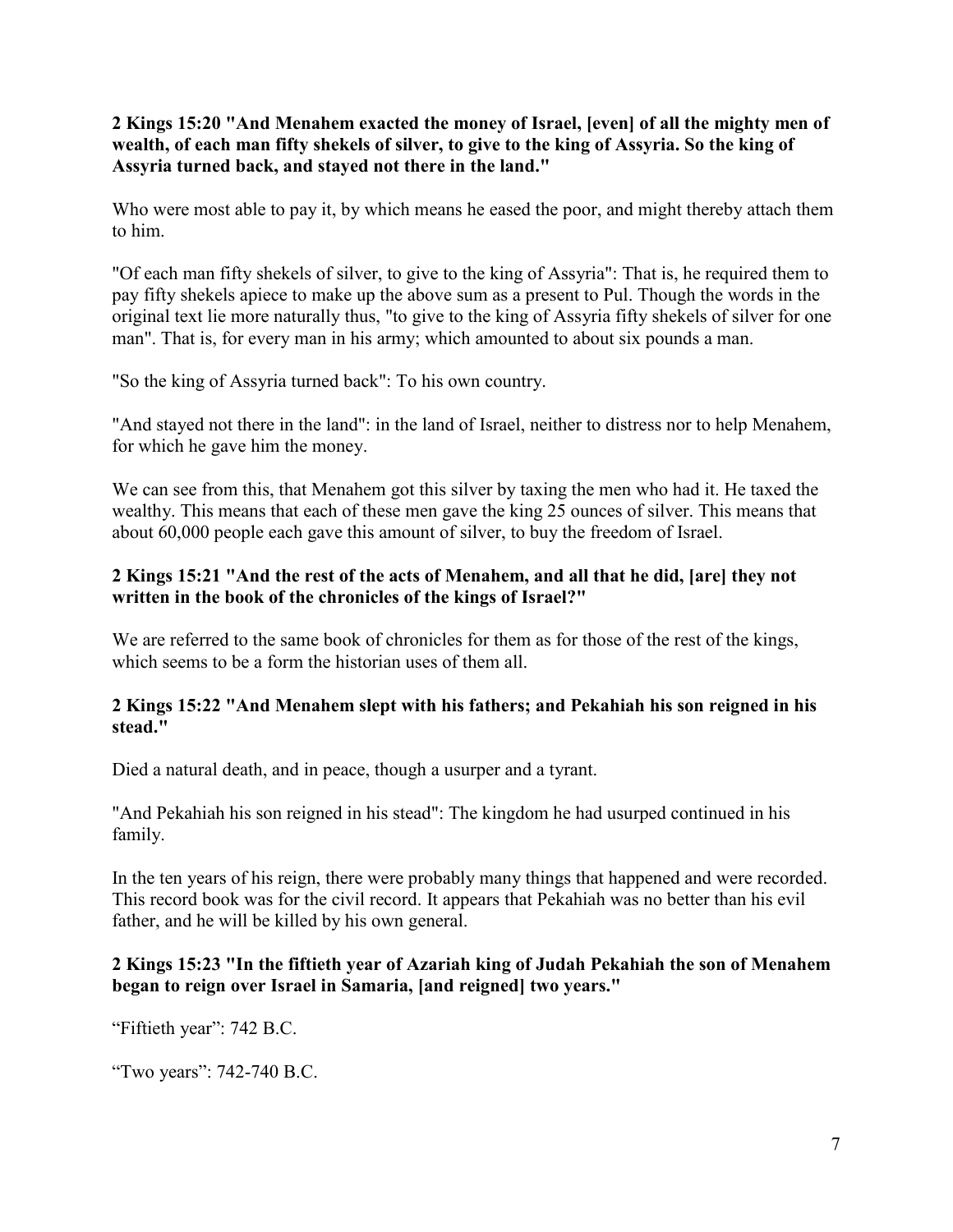**2 Kings 15:20 "And Menahem exacted the money of Israel, [even] of all the mighty men of wealth, of each man fifty shekels of silver, to give to the king of Assyria. So the king of Assyria turned back, and stayed not there in the land."**

Who were most able to pay it, by which means he eased the poor, and might thereby attach them to him.

"Of each man fifty shekels of silver, to give to the king of Assyria": That is, he required them to pay fifty shekels apiece to make up the above sum as a present to Pul. Though the words in the original text lie more naturally thus, "to give to the king of Assyria fifty shekels of silver for one man". That is, for every man in his army; which amounted to about six pounds a man.

"So the king of Assyria turned back": To his own country.

"And stayed not there in the land": in the land of Israel, neither to distress nor to help Menahem, for which he gave him the money.

We can see from this, that Menahem got this silver by taxing the men who had it. He taxed the wealthy. This means that each of these men gave the king 25 ounces of silver. This means that about 60,000 people each gave this amount of silver, to buy the freedom of Israel.

#### **2 Kings 15:21 "And the rest of the acts of Menahem, and all that he did, [are] they not written in the book of the chronicles of the kings of Israel?"**

We are referred to the same book of chronicles for them as for those of the rest of the kings, which seems to be a form the historian uses of them all.

## **2 Kings 15:22 "And Menahem slept with his fathers; and Pekahiah his son reigned in his stead."**

Died a natural death, and in peace, though a usurper and a tyrant.

"And Pekahiah his son reigned in his stead": The kingdom he had usurped continued in his family.

In the ten years of his reign, there were probably many things that happened and were recorded. This record book was for the civil record. It appears that Pekahiah was no better than his evil father, and he will be killed by his own general.

## **2 Kings 15:23 "In the fiftieth year of Azariah king of Judah Pekahiah the son of Menahem began to reign over Israel in Samaria, [and reigned] two years."**

"Fiftieth year": 742 B.C.

"Two years": 742-740 B.C.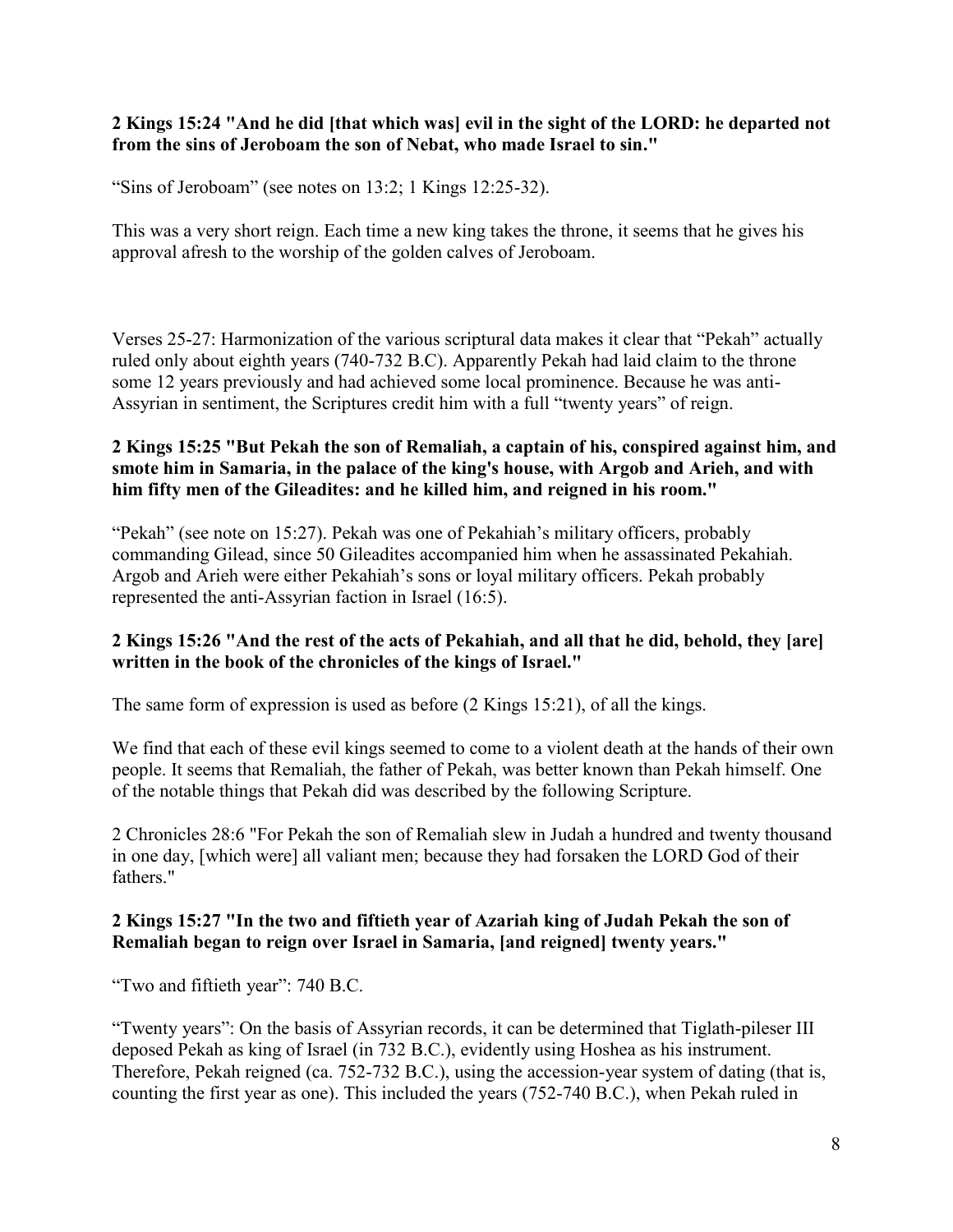#### **2 Kings 15:24 "And he did [that which was] evil in the sight of the LORD: he departed not from the sins of Jeroboam the son of Nebat, who made Israel to sin."**

"Sins of Jeroboam" (see notes on 13:2; 1 Kings 12:25-32).

This was a very short reign. Each time a new king takes the throne, it seems that he gives his approval afresh to the worship of the golden calves of Jeroboam.

Verses 25-27: Harmonization of the various scriptural data makes it clear that "Pekah" actually ruled only about eighth years (740-732 B.C). Apparently Pekah had laid claim to the throne some 12 years previously and had achieved some local prominence. Because he was anti-Assyrian in sentiment, the Scriptures credit him with a full "twenty years" of reign.

## **2 Kings 15:25 "But Pekah the son of Remaliah, a captain of his, conspired against him, and smote him in Samaria, in the palace of the king's house, with Argob and Arieh, and with him fifty men of the Gileadites: and he killed him, and reigned in his room."**

"Pekah" (see note on 15:27). Pekah was one of Pekahiah's military officers, probably commanding Gilead, since 50 Gileadites accompanied him when he assassinated Pekahiah. Argob and Arieh were either Pekahiah's sons or loyal military officers. Pekah probably represented the anti-Assyrian faction in Israel (16:5).

## **2 Kings 15:26 "And the rest of the acts of Pekahiah, and all that he did, behold, they [are] written in the book of the chronicles of the kings of Israel."**

The same form of expression is used as before (2 Kings 15:21), of all the kings.

We find that each of these evil kings seemed to come to a violent death at the hands of their own people. It seems that Remaliah, the father of Pekah, was better known than Pekah himself. One of the notable things that Pekah did was described by the following Scripture.

2 Chronicles 28:6 "For Pekah the son of Remaliah slew in Judah a hundred and twenty thousand in one day, [which were] all valiant men; because they had forsaken the LORD God of their fathers."

#### **2 Kings 15:27 "In the two and fiftieth year of Azariah king of Judah Pekah the son of Remaliah began to reign over Israel in Samaria, [and reigned] twenty years."**

"Two and fiftieth year": 740 B.C.

"Twenty years": On the basis of Assyrian records, it can be determined that Tiglath-pileser III deposed Pekah as king of Israel (in 732 B.C.), evidently using Hoshea as his instrument. Therefore, Pekah reigned (ca. 752-732 B.C.), using the accession-year system of dating (that is, counting the first year as one). This included the years (752-740 B.C.), when Pekah ruled in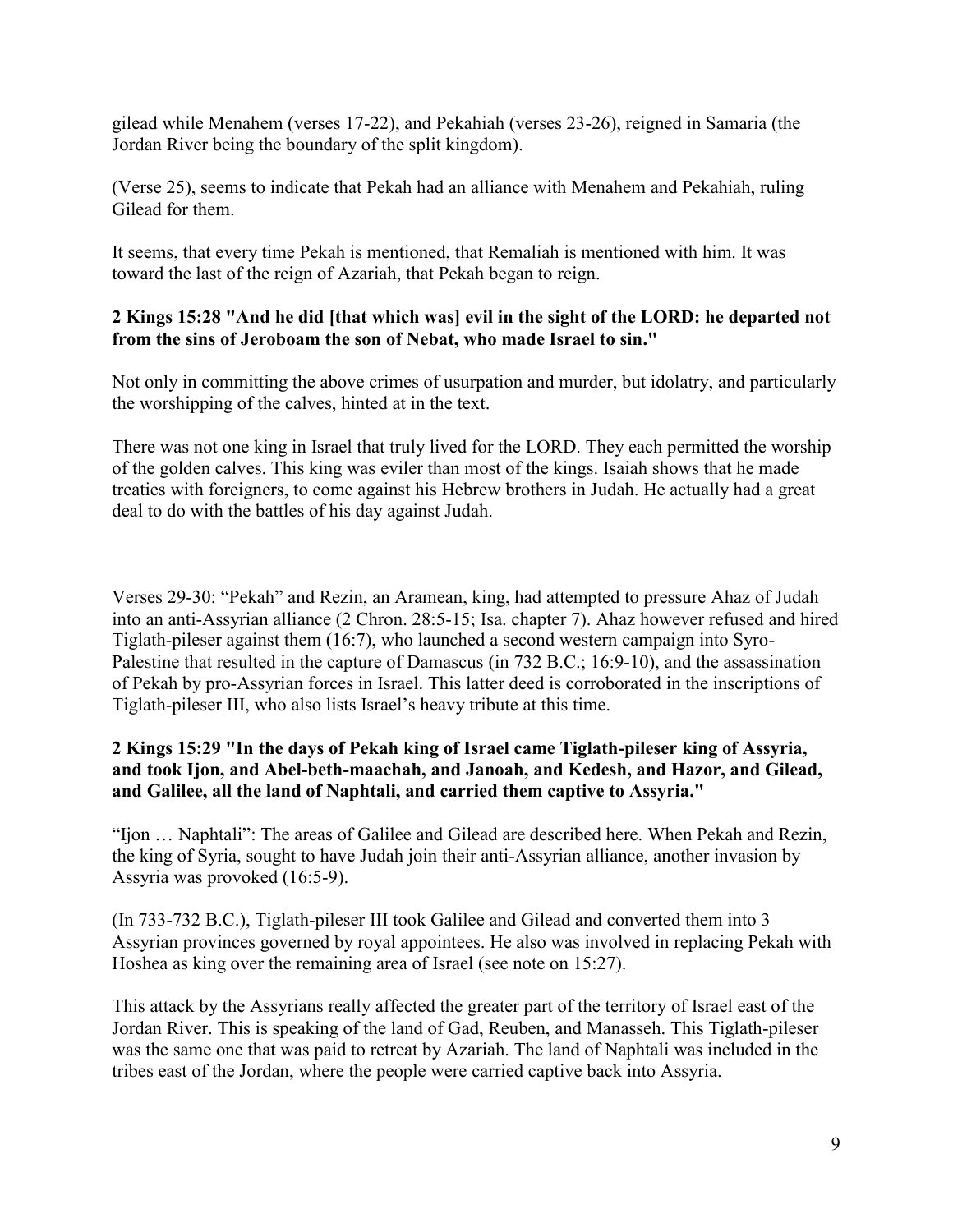gilead while Menahem (verses 17-22), and Pekahiah (verses 23-26), reigned in Samaria (the Jordan River being the boundary of the split kingdom).

(Verse 25), seems to indicate that Pekah had an alliance with Menahem and Pekahiah, ruling Gilead for them.

It seems, that every time Pekah is mentioned, that Remaliah is mentioned with him. It was toward the last of the reign of Azariah, that Pekah began to reign.

## **2 Kings 15:28 "And he did [that which was] evil in the sight of the LORD: he departed not from the sins of Jeroboam the son of Nebat, who made Israel to sin."**

Not only in committing the above crimes of usurpation and murder, but idolatry, and particularly the worshipping of the calves, hinted at in the text.

There was not one king in Israel that truly lived for the LORD. They each permitted the worship of the golden calves. This king was eviler than most of the kings. Isaiah shows that he made treaties with foreigners, to come against his Hebrew brothers in Judah. He actually had a great deal to do with the battles of his day against Judah.

Verses 29-30: "Pekah" and Rezin, an Aramean, king, had attempted to pressure Ahaz of Judah into an anti-Assyrian alliance (2 Chron. 28:5-15; Isa. chapter 7). Ahaz however refused and hired Tiglath-pileser against them (16:7), who launched a second western campaign into Syro-Palestine that resulted in the capture of Damascus (in 732 B.C.; 16:9-10), and the assassination of Pekah by pro-Assyrian forces in Israel. This latter deed is corroborated in the inscriptions of Tiglath-pileser III, who also lists Israel's heavy tribute at this time.

#### **2 Kings 15:29 "In the days of Pekah king of Israel came Tiglath-pileser king of Assyria, and took Ijon, and Abel-beth-maachah, and Janoah, and Kedesh, and Hazor, and Gilead, and Galilee, all the land of Naphtali, and carried them captive to Assyria."**

"Ijon … Naphtali": The areas of Galilee and Gilead are described here. When Pekah and Rezin, the king of Syria, sought to have Judah join their anti-Assyrian alliance, another invasion by Assyria was provoked (16:5-9).

(In 733-732 B.C.), Tiglath-pileser III took Galilee and Gilead and converted them into 3 Assyrian provinces governed by royal appointees. He also was involved in replacing Pekah with Hoshea as king over the remaining area of Israel (see note on 15:27).

This attack by the Assyrians really affected the greater part of the territory of Israel east of the Jordan River. This is speaking of the land of Gad, Reuben, and Manasseh. This Tiglath-pileser was the same one that was paid to retreat by Azariah. The land of Naphtali was included in the tribes east of the Jordan, where the people were carried captive back into Assyria.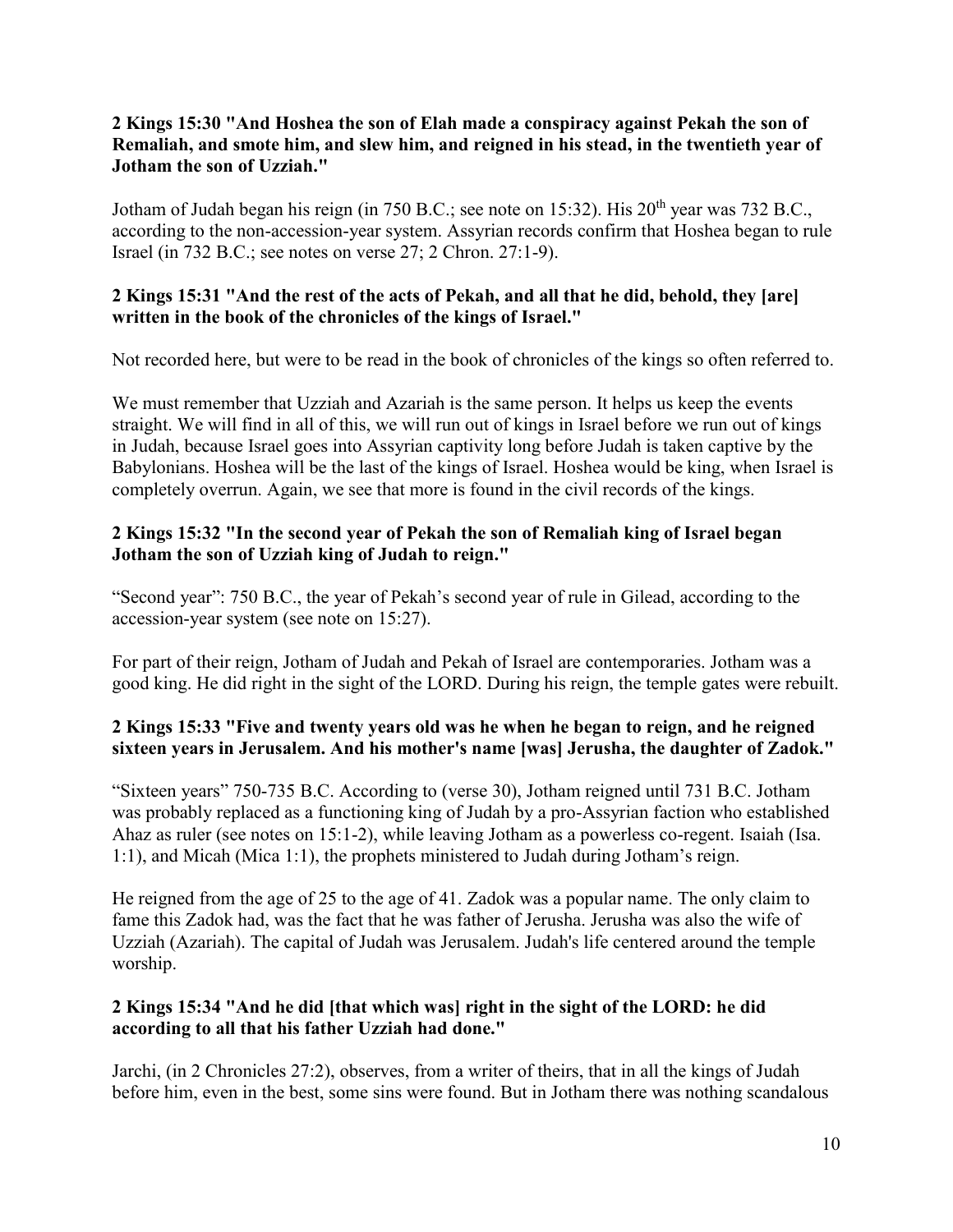## **2 Kings 15:30 "And Hoshea the son of Elah made a conspiracy against Pekah the son of Remaliah, and smote him, and slew him, and reigned in his stead, in the twentieth year of Jotham the son of Uzziah."**

Jotham of Judah began his reign (in 750 B.C.; see note on 15:32). His  $20<sup>th</sup>$  year was 732 B.C., according to the non-accession-year system. Assyrian records confirm that Hoshea began to rule Israel (in 732 B.C.; see notes on verse 27; 2 Chron. 27:1-9).

## **2 Kings 15:31 "And the rest of the acts of Pekah, and all that he did, behold, they [are] written in the book of the chronicles of the kings of Israel."**

Not recorded here, but were to be read in the book of chronicles of the kings so often referred to.

We must remember that Uzziah and Azariah is the same person. It helps us keep the events straight. We will find in all of this, we will run out of kings in Israel before we run out of kings in Judah, because Israel goes into Assyrian captivity long before Judah is taken captive by the Babylonians. Hoshea will be the last of the kings of Israel. Hoshea would be king, when Israel is completely overrun. Again, we see that more is found in the civil records of the kings.

## **2 Kings 15:32 "In the second year of Pekah the son of Remaliah king of Israel began Jotham the son of Uzziah king of Judah to reign."**

"Second year": 750 B.C., the year of Pekah's second year of rule in Gilead, according to the accession-year system (see note on 15:27).

For part of their reign, Jotham of Judah and Pekah of Israel are contemporaries. Jotham was a good king. He did right in the sight of the LORD. During his reign, the temple gates were rebuilt.

# **2 Kings 15:33 "Five and twenty years old was he when he began to reign, and he reigned sixteen years in Jerusalem. And his mother's name [was] Jerusha, the daughter of Zadok."**

"Sixteen years" 750-735 B.C. According to (verse 30), Jotham reigned until 731 B.C. Jotham was probably replaced as a functioning king of Judah by a pro-Assyrian faction who established Ahaz as ruler (see notes on 15:1-2), while leaving Jotham as a powerless co-regent. Isaiah (Isa. 1:1), and Micah (Mica 1:1), the prophets ministered to Judah during Jotham's reign.

He reigned from the age of 25 to the age of 41. Zadok was a popular name. The only claim to fame this Zadok had, was the fact that he was father of Jerusha. Jerusha was also the wife of Uzziah (Azariah). The capital of Judah was Jerusalem. Judah's life centered around the temple worship.

# **2 Kings 15:34 "And he did [that which was] right in the sight of the LORD: he did according to all that his father Uzziah had done."**

Jarchi, (in 2 Chronicles 27:2), observes, from a writer of theirs, that in all the kings of Judah before him, even in the best, some sins were found. But in Jotham there was nothing scandalous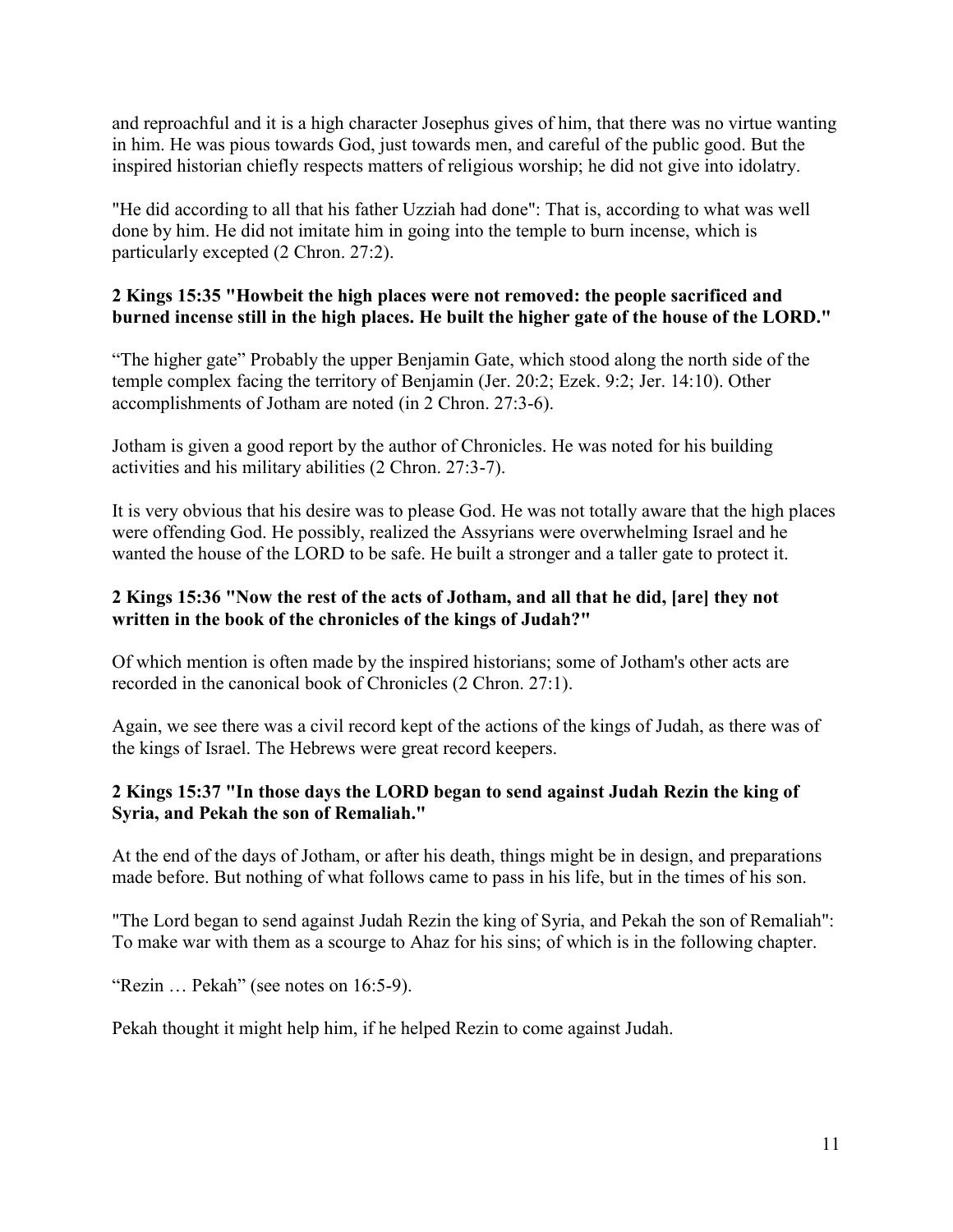and reproachful and it is a high character Josephus gives of him, that there was no virtue wanting in him. He was pious towards God, just towards men, and careful of the public good. But the inspired historian chiefly respects matters of religious worship; he did not give into idolatry.

"He did according to all that his father Uzziah had done": That is, according to what was well done by him. He did not imitate him in going into the temple to burn incense, which is particularly excepted (2 Chron. 27:2).

## **2 Kings 15:35 "Howbeit the high places were not removed: the people sacrificed and burned incense still in the high places. He built the higher gate of the house of the LORD."**

"The higher gate" Probably the upper Benjamin Gate, which stood along the north side of the temple complex facing the territory of Benjamin (Jer. 20:2; Ezek. 9:2; Jer. 14:10). Other accomplishments of Jotham are noted (in 2 Chron. 27:3-6).

Jotham is given a good report by the author of Chronicles. He was noted for his building activities and his military abilities (2 Chron. 27:3-7).

It is very obvious that his desire was to please God. He was not totally aware that the high places were offending God. He possibly, realized the Assyrians were overwhelming Israel and he wanted the house of the LORD to be safe. He built a stronger and a taller gate to protect it.

## **2 Kings 15:36 "Now the rest of the acts of Jotham, and all that he did, [are] they not written in the book of the chronicles of the kings of Judah?"**

Of which mention is often made by the inspired historians; some of Jotham's other acts are recorded in the canonical book of Chronicles (2 Chron. 27:1).

Again, we see there was a civil record kept of the actions of the kings of Judah, as there was of the kings of Israel. The Hebrews were great record keepers.

## **2 Kings 15:37 "In those days the LORD began to send against Judah Rezin the king of Syria, and Pekah the son of Remaliah."**

At the end of the days of Jotham, or after his death, things might be in design, and preparations made before. But nothing of what follows came to pass in his life, but in the times of his son.

"The Lord began to send against Judah Rezin the king of Syria, and Pekah the son of Remaliah": To make war with them as a scourge to Ahaz for his sins; of which is in the following chapter.

"Rezin … Pekah" (see notes on 16:5-9).

Pekah thought it might help him, if he helped Rezin to come against Judah.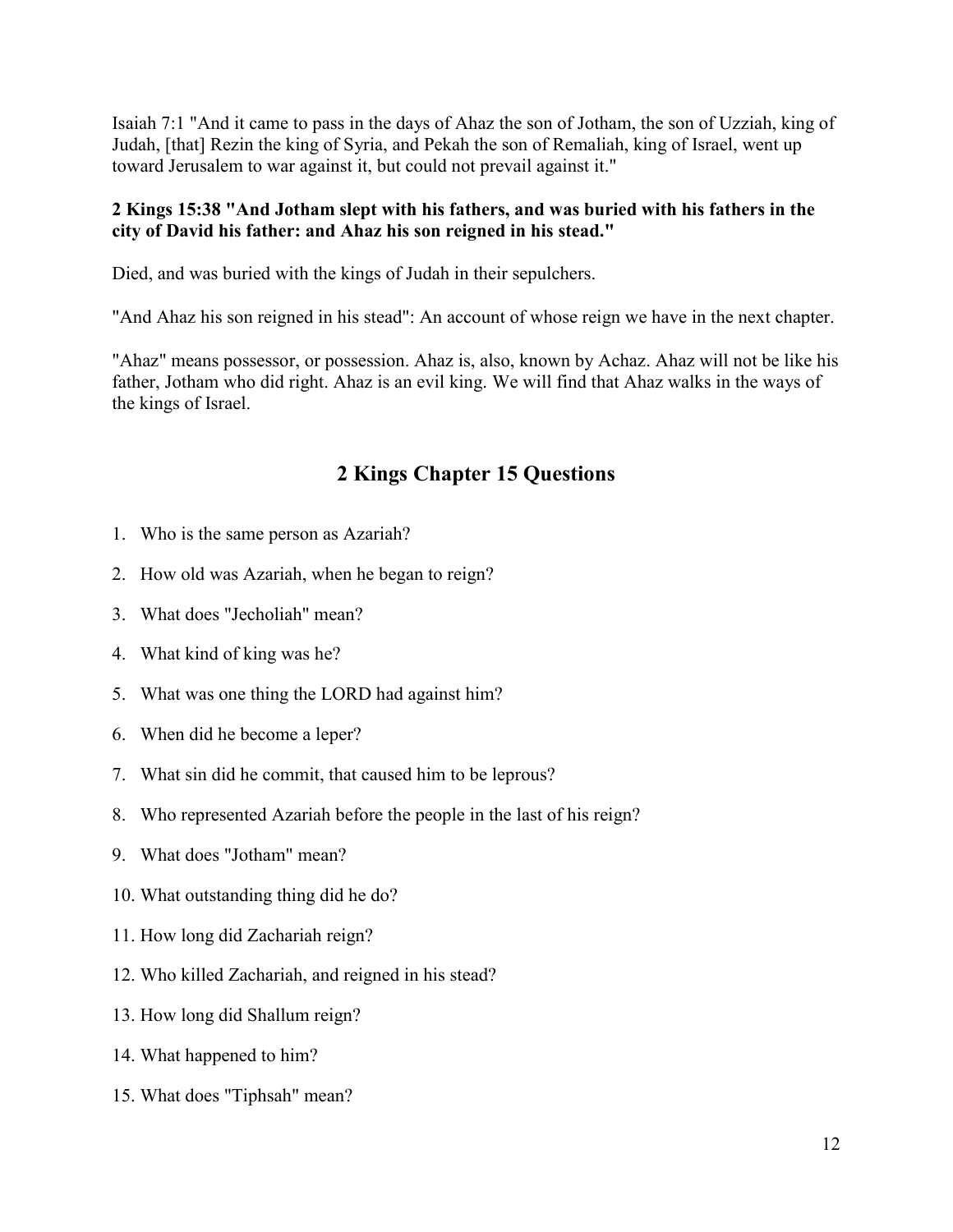Isaiah 7:1 "And it came to pass in the days of Ahaz the son of Jotham, the son of Uzziah, king of Judah, [that] Rezin the king of Syria, and Pekah the son of Remaliah, king of Israel, went up toward Jerusalem to war against it, but could not prevail against it."

## **2 Kings 15:38 "And Jotham slept with his fathers, and was buried with his fathers in the city of David his father: and Ahaz his son reigned in his stead."**

Died, and was buried with the kings of Judah in their sepulchers.

"And Ahaz his son reigned in his stead": An account of whose reign we have in the next chapter.

"Ahaz" means possessor, or possession. Ahaz is, also, known by Achaz. Ahaz will not be like his father, Jotham who did right. Ahaz is an evil king. We will find that Ahaz walks in the ways of the kings of Israel.

# **2 Kings Chapter 15 Questions**

- 1. Who is the same person as Azariah?
- 2. How old was Azariah, when he began to reign?
- 3. What does "Jecholiah" mean?
- 4. What kind of king was he?
- 5. What was one thing the LORD had against him?
- 6. When did he become a leper?
- 7. What sin did he commit, that caused him to be leprous?
- 8. Who represented Azariah before the people in the last of his reign?
- 9. What does "Jotham" mean?
- 10. What outstanding thing did he do?
- 11. How long did Zachariah reign?
- 12. Who killed Zachariah, and reigned in his stead?
- 13. How long did Shallum reign?
- 14. What happened to him?
- 15. What does "Tiphsah" mean?